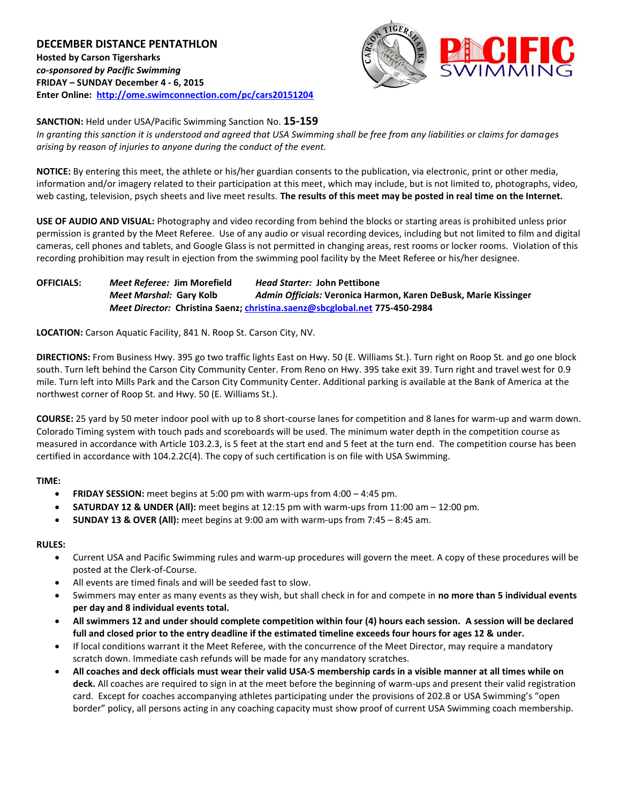**DECEMBER DISTANCE PENTATHLON Hosted by Carson Tigersharks** *co-sponsored by Pacific Swimming* **FRIDAY – SUNDAY December 4 - 6, 2015 Enter Online: <http://ome.swimconnection.com/pc/cars20151204>**



**SANCTION:** Held under USA/Pacific Swimming Sanction No. **15-159**

*In granting this sanction it is understood and agreed that USA Swimming shall be free from any liabilities or claims for damages arising by reason of injuries to anyone during the conduct of the event.*

**NOTICE:** By entering this meet, the athlete or his/her guardian consents to the publication, via electronic, print or other media, information and/or imagery related to their participation at this meet, which may include, but is not limited to, photographs, video, web casting, television, psych sheets and live meet results. **The results of this meet may be posted in real time on the Internet.**

**USE OF AUDIO AND VISUAL:** Photography and video recording from behind the blocks or starting areas is prohibited unless prior permission is granted by the Meet Referee. Use of any audio or visual recording devices, including but not limited to film and digital cameras, cell phones and tablets, and Google Glass is not permitted in changing areas, rest rooms or locker rooms. Violation of this recording prohibition may result in ejection from the swimming pool facility by the Meet Referee or his/her designee.

**OFFICIALS:** *Meet Referee:* **Jim Morefield** *Head Starter:* **John Pettibone** *Meet Marshal:* **Gary Kolb** *Admin Officials:* **Veronica Harmon, Karen DeBusk, Marie Kissinger** *Meet Director:* **Christina Saenz; [christina.saenz@sbcglobal.net](mailto:christina.saenz@sbcglobal.net) 775-450-2984**

**LOCATION:** Carson Aquatic Facility, 841 N. Roop St. Carson City, NV.

**DIRECTIONS:** From Business Hwy. 395 go two traffic lights East on Hwy. 50 (E. Williams St.). Turn right on Roop St. and go one block south. Turn left behind the Carson City Community Center. From Reno on Hwy. 395 take exit 39. Turn right and travel west for 0.9 mile. Turn left into Mills Park and the Carson City Community Center. Additional parking is available at the Bank of America at the northwest corner of Roop St. and Hwy. 50 (E. Williams St.).

**COURSE:** 25 yard by 50 meter indoor pool with up to 8 short-course lanes for competition and 8 lanes for warm-up and warm down. Colorado Timing system with touch pads and scoreboards will be used. The minimum water depth in the competition course as measured in accordance with Article 103.2.3, is 5 feet at the start end and 5 feet at the turn end. The competition course has been certified in accordance with 104.2.2C(4). The copy of such certification is on file with USA Swimming.

## **TIME:**

- **•** FRIDAY SESSION: meet begins at 5:00 pm with warm-ups from 4:00 4:45 pm.
- **SATURDAY 12 & UNDER (All):** meet begins at 12:15 pm with warm-ups from 11:00 am 12:00 pm.
- **SUNDAY 13 & OVER (All):** meet begins at 9:00 am with warm-ups from 7:45 8:45 am.

## **RULES:**

- Current USA and Pacific Swimming rules and warm-up procedures will govern the meet. A copy of these procedures will be posted at the Clerk-of-Course.
- All events are timed finals and will be seeded fast to slow.
- Swimmers may enter as many events as they wish, but shall check in for and compete in **no more than 5 individual events per day and 8 individual events total.**
- **All swimmers 12 and under should complete competition within four (4) hours each session. A session will be declared full and closed prior to the entry deadline if the estimated timeline exceeds four hours for ages 12 & under.**
- If local conditions warrant it the Meet Referee, with the concurrence of the Meet Director, may require a mandatory scratch down. Immediate cash refunds will be made for any mandatory scratches.
- **All coaches and deck officials must wear their valid USA-S membership cards in a visible manner at all times while on deck.** All coaches are required to sign in at the meet before the beginning of warm-ups and present their valid registration card. Except for coaches accompanying athletes participating under the provisions of 202.8 or USA Swimming's "open border" policy, all persons acting in any coaching capacity must show proof of current USA Swimming coach membership.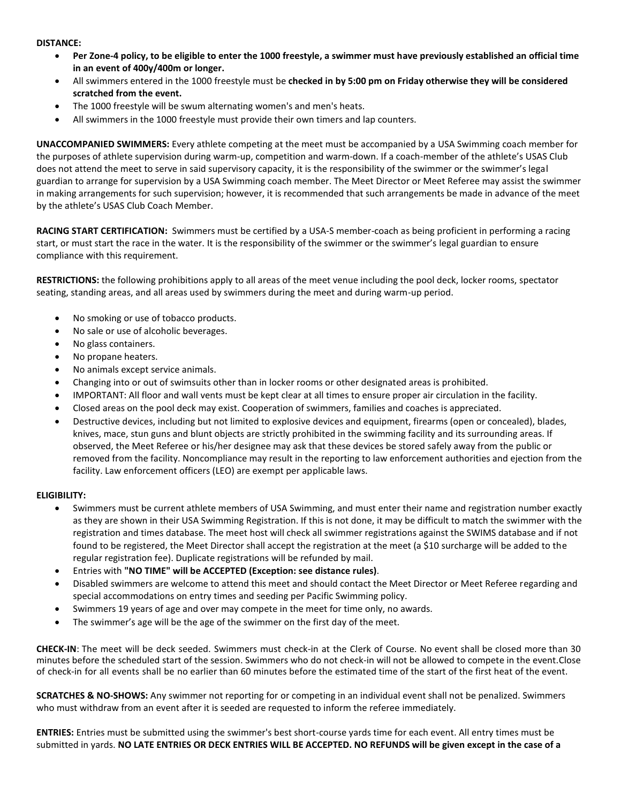#### **DISTANCE:**

- **Per Zone-4 policy, to be eligible to enter the 1000 freestyle, a swimmer must have previously established an official time in an event of 400y/400m or longer.**
- All swimmers entered in the 1000 freestyle must be **checked in by 5:00 pm on Friday otherwise they will be considered scratched from the event.**
- The 1000 freestyle will be swum alternating women's and men's heats.
- All swimmers in the 1000 freestyle must provide their own timers and lap counters.

**UNACCOMPANIED SWIMMERS:** Every athlete competing at the meet must be accompanied by a USA Swimming coach member for the purposes of athlete supervision during warm-up, competition and warm-down. If a coach-member of the athlete's USAS Club does not attend the meet to serve in said supervisory capacity, it is the responsibility of the swimmer or the swimmer's legal guardian to arrange for supervision by a USA Swimming coach member. The Meet Director or Meet Referee may assist the swimmer in making arrangements for such supervision; however, it is recommended that such arrangements be made in advance of the meet by the athlete's USAS Club Coach Member.

**RACING START CERTIFICATION:** Swimmers must be certified by a USA-S member-coach as being proficient in performing a racing start, or must start the race in the water. It is the responsibility of the swimmer or the swimmer's legal guardian to ensure compliance with this requirement.

**RESTRICTIONS:** the following prohibitions apply to all areas of the meet venue including the pool deck, locker rooms, spectator seating, standing areas, and all areas used by swimmers during the meet and during warm-up period.

- No smoking or use of tobacco products.
- No sale or use of alcoholic beverages.
- No glass containers.
- No propane heaters.
- No animals except service animals.
- Changing into or out of swimsuits other than in locker rooms or other designated areas is prohibited.
- IMPORTANT: All floor and wall vents must be kept clear at all times to ensure proper air circulation in the facility.
- Closed areas on the pool deck may exist. Cooperation of swimmers, families and coaches is appreciated.
- Destructive devices, including but not limited to explosive devices and equipment, firearms (open or concealed), blades, knives, mace, stun guns and blunt objects are strictly prohibited in the swimming facility and its surrounding areas. If observed, the Meet Referee or his/her designee may ask that these devices be stored safely away from the public or removed from the facility. Noncompliance may result in the reporting to law enforcement authorities and ejection from the facility. Law enforcement officers (LEO) are exempt per applicable laws.

## **ELIGIBILITY:**

- Swimmers must be current athlete members of USA Swimming, and must enter their name and registration number exactly as they are shown in their USA Swimming Registration. If this is not done, it may be difficult to match the swimmer with the registration and times database. The meet host will check all swimmer registrations against the SWIMS database and if not found to be registered, the Meet Director shall accept the registration at the meet (a \$10 surcharge will be added to the regular registration fee). Duplicate registrations will be refunded by mail.
- Entries with **"NO TIME" will be ACCEPTED (Exception: see distance rules)**.
- Disabled swimmers are welcome to attend this meet and should contact the Meet Director or Meet Referee regarding and special accommodations on entry times and seeding per Pacific Swimming policy.
- Swimmers 19 years of age and over may compete in the meet for time only, no awards.
- The swimmer's age will be the age of the swimmer on the first day of the meet.

**CHECK-IN**: The meet will be deck seeded. Swimmers must check-in at the Clerk of Course. No event shall be closed more than 30 minutes before the scheduled start of the session. Swimmers who do not check-in will not be allowed to compete in the event.Close of check-in for all events shall be no earlier than 60 minutes before the estimated time of the start of the first heat of the event.

**SCRATCHES & NO-SHOWS:** Any swimmer not reporting for or competing in an individual event shall not be penalized. Swimmers who must withdraw from an event after it is seeded are requested to inform the referee immediately.

**ENTRIES:** Entries must be submitted using the swimmer's best short-course yards time for each event. All entry times must be submitted in yards. **NO LATE ENTRIES OR DECK ENTRIES WILL BE ACCEPTED. NO REFUNDS will be given except in the case of a**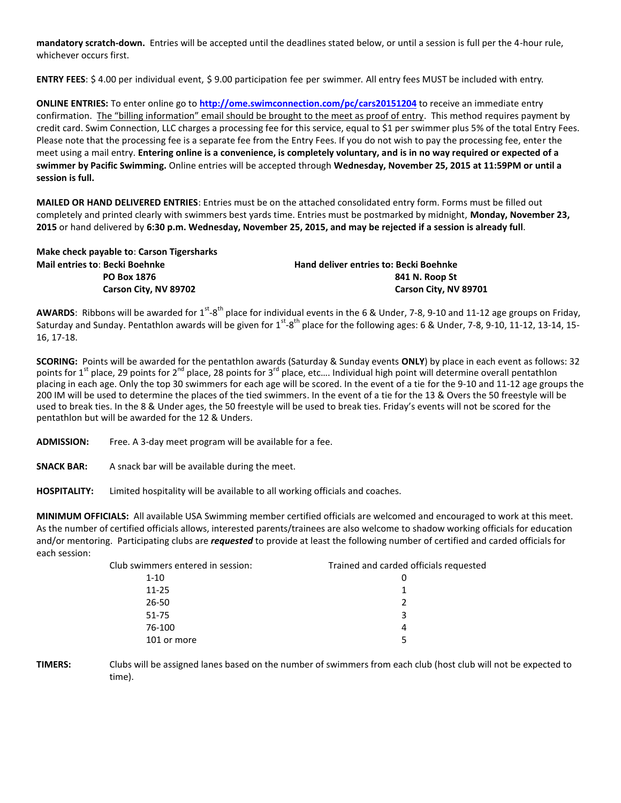**mandatory scratch-down.** Entries will be accepted until the deadlines stated below, or until a session is full per the 4-hour rule, whichever occurs first.

**ENTRY FEES**: \$ 4.00 per individual event, \$ 9.00 participation fee per swimmer. All entry fees MUST be included with entry.

**ONLINE ENTRIES:** To enter online go to **<http://ome.swimconnection.com/pc/cars20151204>** to receive an immediate entry confirmation. The "billing information" email should be brought to the meet as proof of entry. This method requires payment by credit card. Swim Connection, LLC charges a processing fee for this service, equal to \$1 per swimmer plus 5% of the total Entry Fees. Please note that the processing fee is a separate fee from the Entry Fees. If you do not wish to pay the processing fee, enter the meet using a mail entry. **Entering online is a convenience, is completely voluntary, and is in no way required or expected of a swimmer by Pacific Swimming.** Online entries will be accepted through **Wednesday, November 25, 2015 at 11:59PM or until a session is full.**

**MAILED OR HAND DELIVERED ENTRIES**: Entries must be on the attached consolidated entry form. Forms must be filled out completely and printed clearly with swimmers best yards time. Entries must be postmarked by midnight, **Monday, November 23, 2015** or hand delivered by **6:30 p.m. Wednesday, November 25, 2015, and may be rejected if a session is already full**.

| Make check payable to: Carson Tigersharks |                                               |
|-------------------------------------------|-----------------------------------------------|
| Mail entries to: Becki Boehnke            | <b>Hand deliver entries to: Becki Boehnke</b> |
| <b>PO Box 1876</b>                        | 841 N. Roop St                                |
| Carson City, NV 89702                     | Carson City, NV 89701                         |
|                                           |                                               |

AWARDS: Ribbons will be awarded for 1<sup>st</sup>-8<sup>th</sup> place for individual events in the 6 & Under, 7-8, 9-10 and 11-12 age groups on Friday, Saturday and Sunday. Pentathlon awards will be given for  $1^{st}$ -8<sup>th</sup> place for the following ages: 6 & Under, 7-8, 9-10, 11-12, 13-14, 15-16, 17-18.

**SCORING:** Points will be awarded for the pentathlon awards (Saturday & Sunday events **ONLY**) by place in each event as follows: 32 points for  $1^{st}$  place, 29 points for  $2^{nd}$  place, 28 points for  $3^{rd}$  place, etc.... Individual high point will determine overall pentathlon placing in each age. Only the top 30 swimmers for each age will be scored. In the event of a tie for the 9-10 and 11-12 age groups the 200 IM will be used to determine the places of the tied swimmers. In the event of a tie for the 13 & Overs the 50 freestyle will be used to break ties. In the 8 & Under ages, the 50 freestyle will be used to break ties. Friday's events will not be scored for the pentathlon but will be awarded for the 12 & Unders.

**ADMISSION:** Free. A 3-day meet program will be available for a fee.

**SNACK BAR:** A snack bar will be available during the meet.

**HOSPITALITY:** Limited hospitality will be available to all working officials and coaches.

**MINIMUM OFFICIALS:** All available USA Swimming member certified officials are welcomed and encouraged to work at this meet. As the number of certified officials allows, interested parents/trainees are also welcome to shadow working officials for education and/or mentoring. Participating clubs are *requested* to provide at least the following number of certified and carded officials for each session:

| Club swimmers entered in session: | Trained and carded officials requested |
|-----------------------------------|----------------------------------------|
| $1 - 10$                          |                                        |
| $11 - 25$                         |                                        |
| 26-50                             | 2                                      |
| 51-75                             | 3                                      |
| 76-100                            | 4                                      |
| 101 or more                       |                                        |

**TIMERS:** Clubs will be assigned lanes based on the number of swimmers from each club (host club will not be expected to time).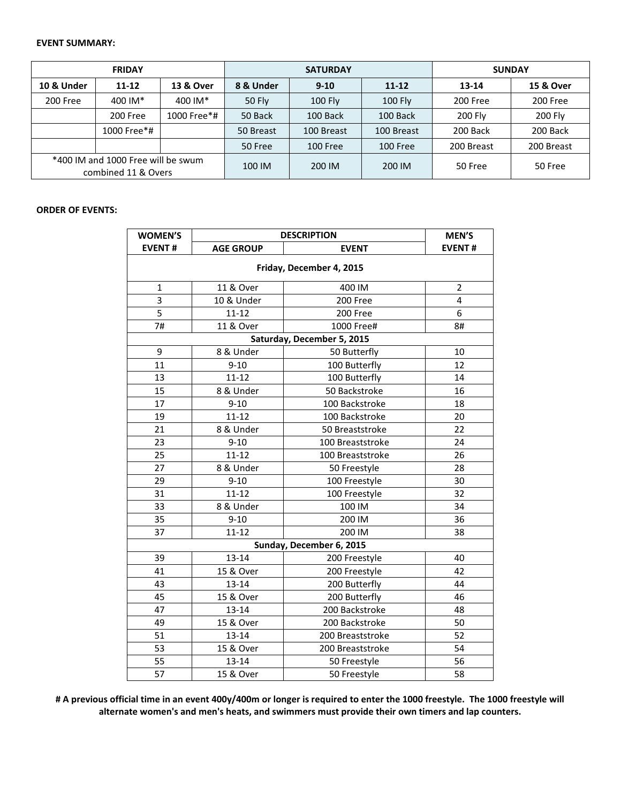#### **EVENT SUMMARY:**

| <b>FRIDAY</b>                                             |             |             |                     | <b>SATURDAY</b> | <b>SUNDAY</b>   |            |            |
|-----------------------------------------------------------|-------------|-------------|---------------------|-----------------|-----------------|------------|------------|
| 10 & Under                                                | $11 - 12$   | 13 & Over   | 8 & Under<br>$9-10$ |                 | $11 - 12$       | 13-14      | 15 & Over  |
| 200 Free                                                  | 400 IM*     | 400 IM*     | 50 Fly              | <b>100 Fly</b>  | <b>100 Fly</b>  | 200 Free   | 200 Free   |
|                                                           | 200 Free    | 1000 Free*# | 50 Back             | 100 Back        | 100 Back        | 200 Fly    | 200 Fly    |
|                                                           | 1000 Free*# |             | 50 Breast           | 100 Breast      | 100 Breast      | 200 Back   | 200 Back   |
|                                                           |             |             | 50 Free             | 100 Free        | <b>100 Free</b> | 200 Breast | 200 Breast |
| *400 IM and 1000 Free will be swum<br>combined 11 & Overs |             | 100 IM      | 200 IM              | 200 IM          | 50 Free         | 50 Free    |            |

# **ORDER OF EVENTS:**

| <b>WOMEN'S</b>           | <b>DESCRIPTION</b> | <b>MEN'S</b>               |                |  |  |  |  |  |
|--------------------------|--------------------|----------------------------|----------------|--|--|--|--|--|
| <b>EVENT#</b>            | <b>AGE GROUP</b>   | <b>EVENT#</b>              |                |  |  |  |  |  |
| Friday, December 4, 2015 |                    |                            |                |  |  |  |  |  |
| $\mathbf{1}$             | 11 & Over          | 400 IM                     | $\overline{2}$ |  |  |  |  |  |
| 3                        | 10 & Under         | 4                          |                |  |  |  |  |  |
| 5                        | $11 - 12$          | 200 Free                   | 6              |  |  |  |  |  |
| 7#                       | 11 & Over          | 1000 Free#                 | 8#             |  |  |  |  |  |
|                          |                    | Saturday, December 5, 2015 |                |  |  |  |  |  |
| 9                        | 8 & Under          | 50 Butterfly               | 10             |  |  |  |  |  |
| 11                       | $9 - 10$           | 100 Butterfly              | 12             |  |  |  |  |  |
| 13                       | $11 - 12$          | 100 Butterfly              | 14             |  |  |  |  |  |
| 15                       | 8 & Under          | 50 Backstroke              | 16             |  |  |  |  |  |
| 17                       | $9 - 10$           | 100 Backstroke             | 18             |  |  |  |  |  |
| 19                       | $11 - 12$          | 100 Backstroke             | 20             |  |  |  |  |  |
| 21                       | 8 & Under          | 50 Breaststroke            | 22             |  |  |  |  |  |
| 23                       | $9 - 10$           | 100 Breaststroke           | 24             |  |  |  |  |  |
| 25                       | $11 - 12$          | 100 Breaststroke           | 26             |  |  |  |  |  |
| 27                       | 8 & Under          | 50 Freestyle               | 28             |  |  |  |  |  |
| 29                       | $9 - 10$           | 100 Freestyle              | 30             |  |  |  |  |  |
| 31                       | $11 - 12$          | 100 Freestyle              | 32             |  |  |  |  |  |
| 33                       | 8 & Under          | 100 IM                     | 34             |  |  |  |  |  |
| 35                       | $9 - 10$           | 200 IM                     | 36             |  |  |  |  |  |
| 37                       | $11 - 12$          | 200 IM                     | 38             |  |  |  |  |  |
|                          |                    | Sunday, December 6, 2015   |                |  |  |  |  |  |
| 39                       | 13-14              | 200 Freestyle              | 40             |  |  |  |  |  |
| 41                       | 15 & Over          | 200 Freestyle              | 42             |  |  |  |  |  |
| 43                       | 13-14              | 200 Butterfly              | 44             |  |  |  |  |  |
| 45                       | 15 & Over          | 200 Butterfly              | 46             |  |  |  |  |  |
| 47                       | 13-14              | 200 Backstroke             | 48             |  |  |  |  |  |
| 49                       | 15 & Over          | 200 Backstroke             | 50             |  |  |  |  |  |
| 51                       | 13-14              | 200 Breaststroke           | 52             |  |  |  |  |  |
| 53                       | 15 & Over          | 200 Breaststroke           | 54             |  |  |  |  |  |
| 55                       | 13-14              | 50 Freestyle               | 56             |  |  |  |  |  |
| 57                       | 15 & Over          | 50 Freestyle               | 58             |  |  |  |  |  |

**# A previous official time in an event 400y/400m or longer is required to enter the 1000 freestyle. The 1000 freestyle will alternate women's and men's heats, and swimmers must provide their own timers and lap counters.**